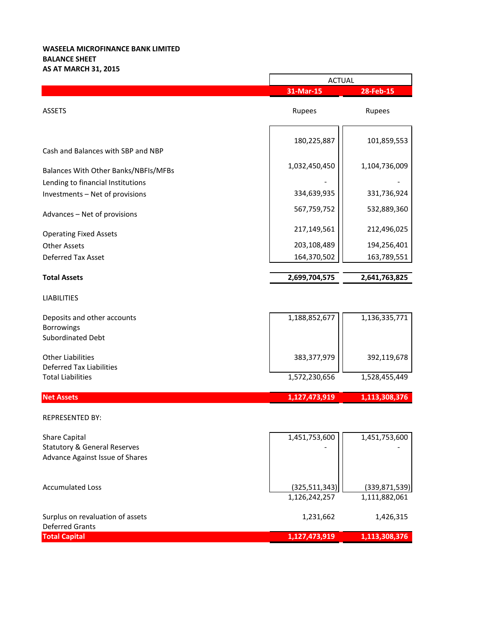## **WASEELA MICROFINANCE BANK LIMITED BALANCE SHEET AS AT MARCH 31, 2015**

|                                         | <b>ACTUAL</b>   |                 |
|-----------------------------------------|-----------------|-----------------|
|                                         | 31-Mar-15       | 28-Feb-15       |
| <b>ASSETS</b>                           | Rupees          | Rupees          |
|                                         | 180,225,887     | 101,859,553     |
| Cash and Balances with SBP and NBP      |                 |                 |
| Balances With Other Banks/NBFIs/MFBs    | 1,032,450,450   | 1,104,736,009   |
| Lending to financial Institutions       |                 |                 |
| Investments - Net of provisions         | 334,639,935     | 331,736,924     |
| Advances - Net of provisions            | 567,759,752     | 532,889,360     |
| <b>Operating Fixed Assets</b>           | 217,149,561     | 212,496,025     |
| <b>Other Assets</b>                     | 203,108,489     | 194,256,401     |
| Deferred Tax Asset                      | 164,370,502     | 163,789,551     |
| <b>Total Assets</b>                     | 2,699,704,575   | 2,641,763,825   |
| <b>LIABILITIES</b>                      |                 |                 |
| Deposits and other accounts             | 1,188,852,677   | 1,136,335,771   |
| Borrowings                              |                 |                 |
| Subordinated Debt                       |                 |                 |
| <b>Other Liabilities</b>                | 383,377,979     | 392,119,678     |
| <b>Deferred Tax Liabilities</b>         |                 |                 |
| <b>Total Liabilities</b>                | 1,572,230,656   | 1,528,455,449   |
| <b>Net Assets</b>                       | 1,127,473,919   | 1,113,308,376   |
| <b>REPRESENTED BY:</b>                  |                 |                 |
| <b>Share Capital</b>                    | 1,451,753,600   | 1,451,753,600   |
| <b>Statutory &amp; General Reserves</b> |                 |                 |
| Advance Against Issue of Shares         |                 |                 |
| <b>Accumulated Loss</b>                 | (325, 511, 343) | (339, 871, 539) |
|                                         | 1,126,242,257   | 1,111,882,061   |
| Surplus on revaluation of assets        | 1,231,662       | 1,426,315       |
| <b>Deferred Grants</b>                  |                 |                 |
| <b>Total Capital</b>                    | 1,127,473,919   | 1,113,308,376   |

 $\overline{\phantom{0}}$